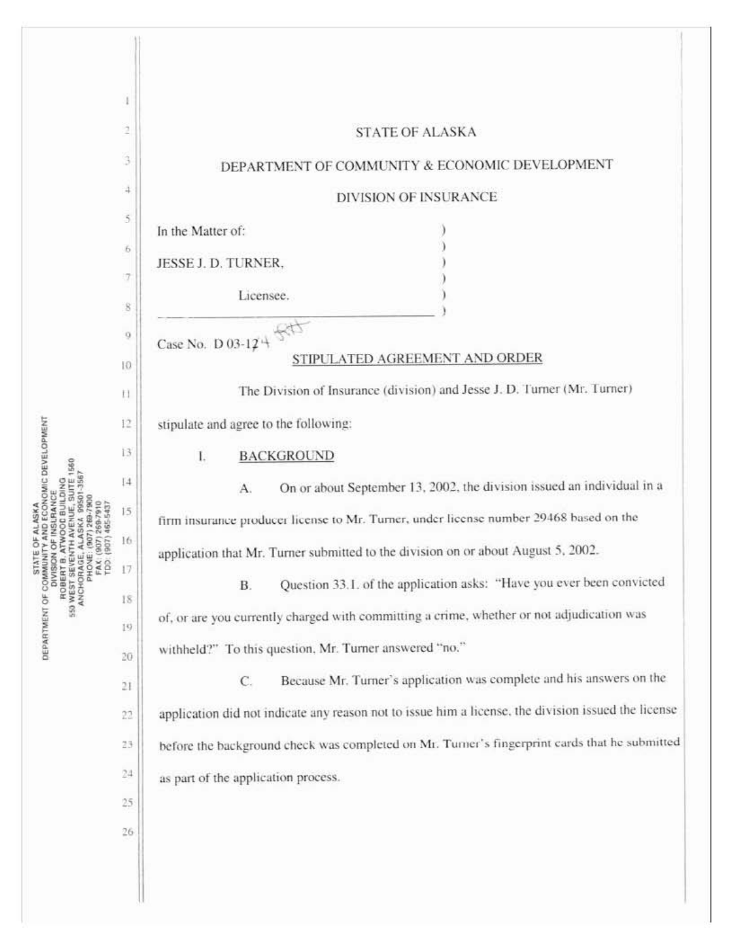| NOMIC DEVELOPMENT<br>ASK.<br>DEPARTMENT OF COMM<br><b>CONTRACTES</b><br>HOBERT SEN<br>ANCHORA<br>ANCHORA<br>FACH PHOTO |              |                                                                                                     |
|------------------------------------------------------------------------------------------------------------------------|--------------|-----------------------------------------------------------------------------------------------------|
|                                                                                                                        | 2            | <b>STATE OF ALASKA</b>                                                                              |
|                                                                                                                        | 3            | DEPARTMENT OF COMMUNITY & ECONOMIC DEVELOPMENT                                                      |
|                                                                                                                        | 4            | <b>DIVISION OF INSURANCE</b>                                                                        |
|                                                                                                                        | 5            | In the Matter of:                                                                                   |
|                                                                                                                        | 6            | JESSE J. D. TURNER,                                                                                 |
|                                                                                                                        | 7            | Licensee.                                                                                           |
|                                                                                                                        | 8            |                                                                                                     |
|                                                                                                                        | 9            | Case No. D 03-124                                                                                   |
|                                                                                                                        | 10           | STIPULATED AGREEMENT AND ORDER                                                                      |
|                                                                                                                        | t1           | The Division of Insurance (division) and Jesse J. D. Turner (Mr. Turner)                            |
|                                                                                                                        | 12           | stipulate and agree to the following:                                                               |
|                                                                                                                        | 13           | <b>BACKGROUND</b><br>L                                                                              |
|                                                                                                                        | [4]          | On or about September 13, 2002, the division issued an individual in a<br>А.                        |
|                                                                                                                        | 15           | firm insurance producer license to Mr. Turner, under license number 29468 based on the              |
|                                                                                                                        | 16.          | application that Mr. Turner submitted to the division on or about August 5, 2002.                   |
|                                                                                                                        | 17           | Question 33.1. of the application asks: "Have you ever been convicted<br>B.                         |
|                                                                                                                        | 18           | of, or are you currently charged with committing a crime, whether or not adjudication was           |
|                                                                                                                        | 19           |                                                                                                     |
|                                                                                                                        | 20           | withheld?" To this question, Mr. Turner answered "no."                                              |
|                                                                                                                        | 21           | Because Mr. Turner's application was complete and his answers on the<br>C.                          |
|                                                                                                                        | 22           | application did not indicate any reason not to issue him a license, the division issued the license |
|                                                                                                                        | 23           | before the background check was completed on Mr. Turner's fingerprint cards that he submitted       |
|                                                                                                                        | 24           | as part of the application process.                                                                 |
|                                                                                                                        | $25^{\circ}$ |                                                                                                     |
|                                                                                                                        | 26           |                                                                                                     |
|                                                                                                                        |              |                                                                                                     |
|                                                                                                                        |              |                                                                                                     |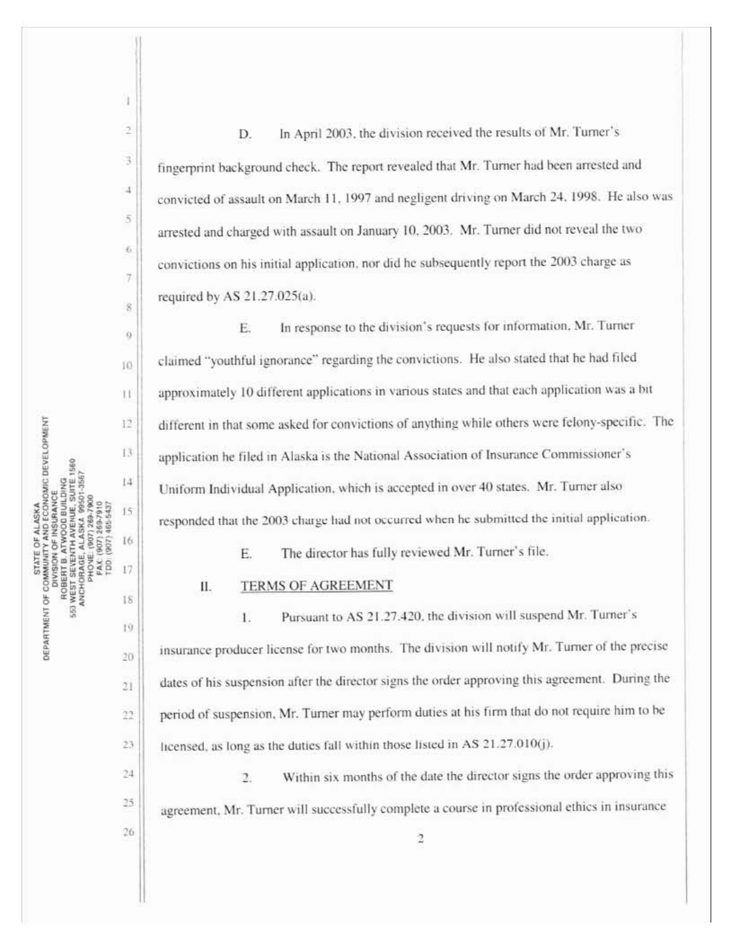In April 2003, the division received the results of Mr. Turner's D. fingerprint background check. The report revealed that Mr. Turner had been arrested and convicted of assault on March 11, 1997 and negligent driving on March 24, 1998. He also was arrested and charged with assault on January 10, 2003. Mr. Turner did not reveal the two convictions on his initial application, nor did he subsequently report the 2003 charge as required by AS  $21.27.025(a)$ .

In response to the division's requests for information, Mr. Turner Е. claimed "youthful ignorance" regarding the convictions. He also stated that he had filed approximately 10 different applications in various states and that each application was a bit different in that some asked for convictions of anything while others were felony-specific. The application he filed in Alaska is the National Association of Insurance Commissioner's Uniform Individual Application, which is accepted in over 40 states. Mr. Turner also responded that the 2003 charge had not occurred when he submitted the initial application.

> The director has fully reviewed Mr. Turner's file. E.

## **TERMS OF AGREEMENT** Н.

Pursuant to AS 21.27.420, the division will suspend Mr. Turner's 1. insurance producer license for two months. The division will notify Mr. Turner of the precise dates of his suspension after the director signs the order approving this agreement. During the period of suspension, Mr. Turner may perform duties at his firm that do not require him to be licensed, as long as the duties fall within those listed in AS 21.27.010(j).

Within six months of the date the director signs the order approving this  $\overline{2}$ agreement. Mr. Turner will successfully complete a course in professional ethics in insurance

STATE OF ALASKA<br>DEPARTMENT OF COMMUNITY AND ECONOMIC DEVELOPMENT<br>DIVISION OF INSURANCE<br>ROBERT B. ATWOOD BUILDING  $12$  $13$ 1560  $14$ ROBERT B. ATWOOD BUSINESS 15 **ALASKA** 16 **ANCHORAGE,** ä 17 18 19 20

ł

 $\overline{2}$ 

3

 $\overline{4}$ 

5

è.

Ţ.

ž

ij

10

H

21

22

23.

24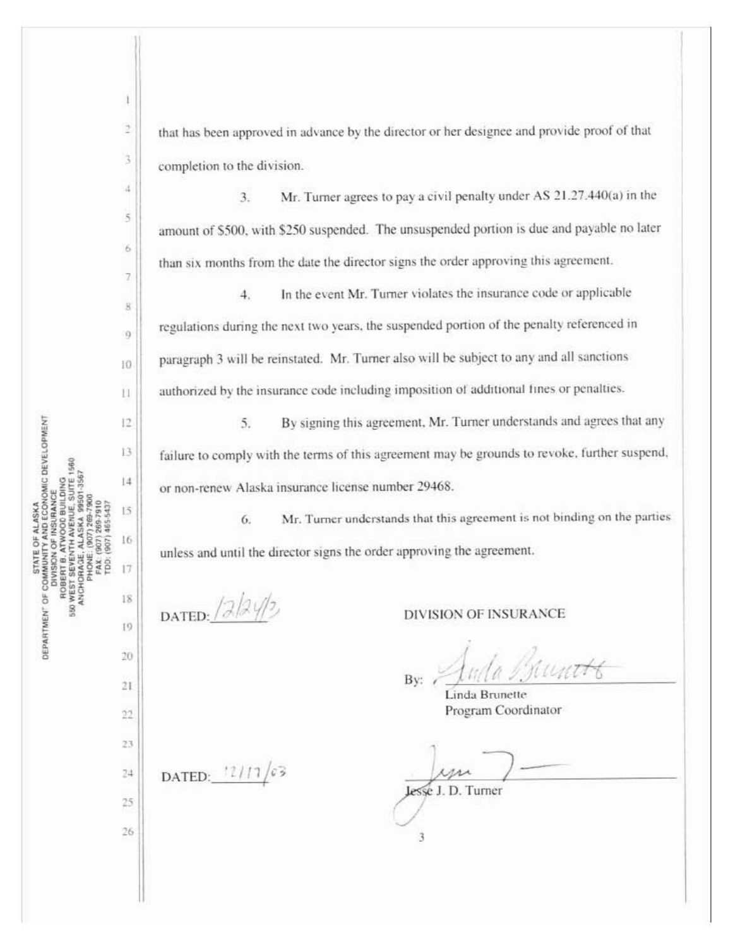ì

that has been approved in advance by the director or her designee and provide proof of that completion to the division.

Mr. Turner agrees to pay a civil penalty under AS 21.27.440(a) in the  $3.$ amount of \$500, with \$250 suspended. The unsuspended portion is due and payable no later than six months from the date the director signs the order approving this agreement.

In the event Mr. Turner violates the insurance code or applicable  $4.$ regulations during the next two years, the suspended portion of the penalty referenced in paragraph 3 will be reinstated. Mr. Turner also will be subject to any and all sanctions authorized by the insurance code including imposition of additional fines or penalties.

By signing this agreement, Mr. Turner understands and agrees that any 5. failure to comply with the terms of this agreement may be grounds to revoke, further suspend, or non-renew Alaska insurance license number 29468.

Mr. Turner understands that this agreement is not binding on the parties 6. unless and until the director signs the order approving the agreement.

DATED:  $/2/2/2$ 

**DIVISION OF INSURANCE** 

Bv:

Linda Brunette Program Coordinator

lesse J. D. Turner

3

DATED:  $11/17/63$ 

 $24$ 

25

26